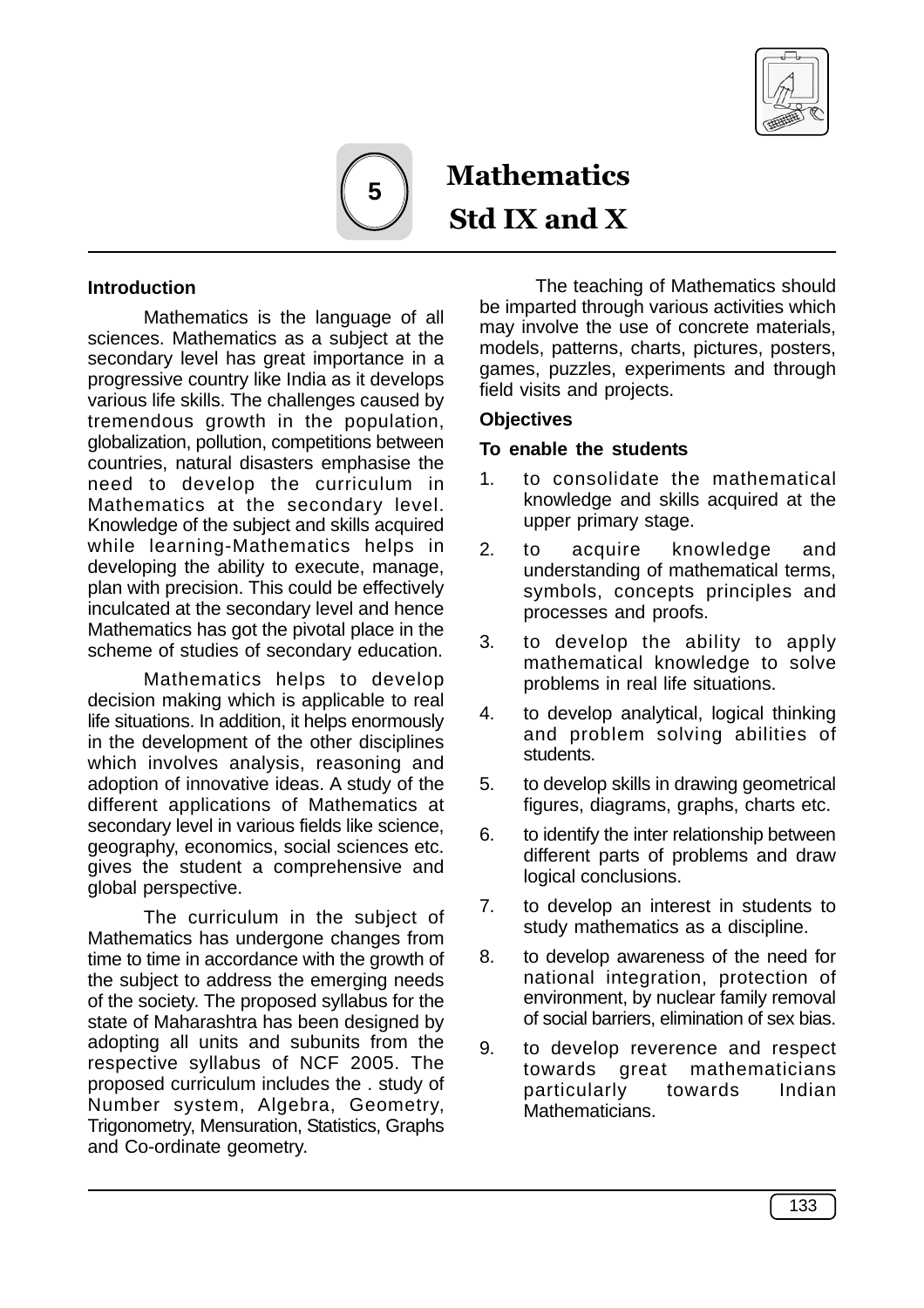



**Mathematics** Std IX and X

### **Introduction**

Mathematics is the language of all sciences. Mathematics as a subject at the secondary level has great importance in a progressive country like India as it develops various life skills. The challenges caused by tremendous growth in the population, globalization, pollution, competitions between countries, natural disasters emphasise the need to develop the curriculum in Mathematics at the secondary level. Knowledge of the subject and skills acquired while learning-Mathematics helps in developing the ability to execute, manage, plan with precision. This could be effectively inculcated at the secondary level and hence Mathematics has got the pivotal place in the scheme of studies of secondary education.

Mathematics helps to develop decision making which is applicable to real life situations. In addition, it helps enormously in the development of the other disciplines which involves analysis, reasoning and adoption of innovative ideas. A study of the different applications of Mathematics at secondary level in various fields like science, geography, economics, social sciences etc. gives the student a comprehensive and global perspective.

The curriculum in the subject of Mathematics has undergone changes from time to time in accordance with the growth of the subject to address the emerging needs of the society. The proposed syllabus for the state of Maharashtra has been designed by adopting all units and subunits from the respective syllabus of NCF 2005. The proposed curriculum includes the . study of Number system, Algebra, Geometry, Trigonometry, Mensuration, Statistics, Graphs and Co-ordinate geometry.

The teaching of Mathematics should be imparted through various activities which may involve the use of concrete materials, models, patterns, charts, pictures, posters, games, puzzles, experiments and through field visits and projects.

#### **Objectives**

#### **To enable the students**

- 1. to consolidate the mathematical knowledge and skills acquired at the upper primary stage.
- 2. to acquire knowledge and understanding of mathematical terms, symbols, concepts principles and processes and proofs.
- 3. to develop the ability to apply mathematical knowledge to solve problems in real life situations.
- 4. to develop analytical, logical thinking and problem solving abilities of students.
- 5. to develop skills in drawing geometrical figures, diagrams, graphs, charts etc.
- 6. to identify the inter relationship between different parts of problems and draw logical conclusions.
- 7. to develop an interest in students to study mathematics as a discipline.
- 8. to develop awareness of the need for national integration, protection of environment, by nuclear family removal of social barriers, elimination of sex bias.
- 9. to develop reverence and respect towards great mathematicians particularly towards Indian Mathematicians.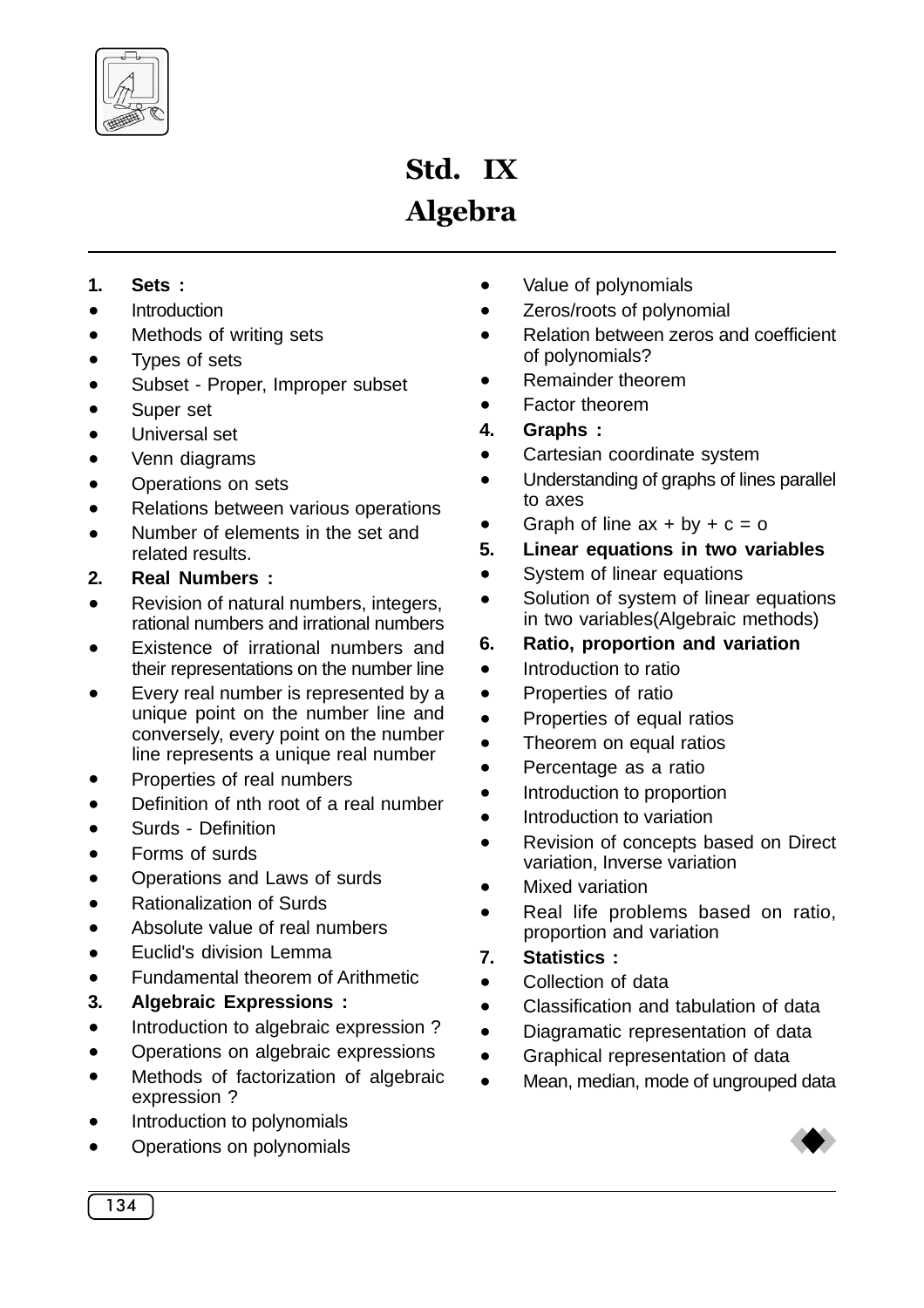

# Std. IX Algebra

- **1. Sets :**
- **Introduction**
- Methods of writing sets
- Types of sets
- Subset Proper, Improper subset
- Super set
- · Universal set
- Venn diagrams
- · Operations on sets
- · Relations between various operations
- Number of elements in the set and related results.
- **2. Real Numbers :**
- Revision of natural numbers, integers, rational numbers and irrational numbers
- Existence of irrational numbers and their representations on the number line
- Every real number is represented by a unique point on the number line and conversely, every point on the number line represents a unique real number
- Properties of real numbers
- Definition of nth root of a real number
- · Surds Definition
- · Forms of surds
- · Operations and Laws of surds
- · Rationalization of Surds
- Absolute value of real numbers
- · Euclid's division Lemma
- Fundamental theorem of Arithmetic
- **3. Algebraic Expressions :**
- · Introduction to algebraic expression ?
- · Operations on algebraic expressions
- Methods of factorization of algebraic expression ?
- Introduction to polynomials
- · Operations on polynomials
- · Value of polynomials
- **Zeros/roots of polynomial**
- · Relation between zeros and coefficient of polynomials?
- Remainder theorem
- Factor theorem
- **4. Graphs :**
- · Cartesian coordinate system
- · Understanding of graphs of lines parallel to axes
- Graph of line  $ax + by + c = o$
- **5. Linear equations in two variables**
- System of linear equations
- · Solution of system of linear equations in two variables(Algebraic methods)
- **6. Ratio, proportion and variation**
- Introduction to ratio
- · Properties of ratio
- · Properties of equal ratios
- Theorem on equal ratios
- Percentage as a ratio
- Introduction to proportion
- Introduction to variation
- · Revision of concepts based on Direct variation, Inverse variation
- **Mixed variation**
- Real life problems based on ratio, proportion and variation
- **7. Statistics :**
- Collection of data
- · Classification and tabulation of data
- · Diagramatic representation of data
- · Graphical representation of data
- · Mean, median, mode of ungrouped data

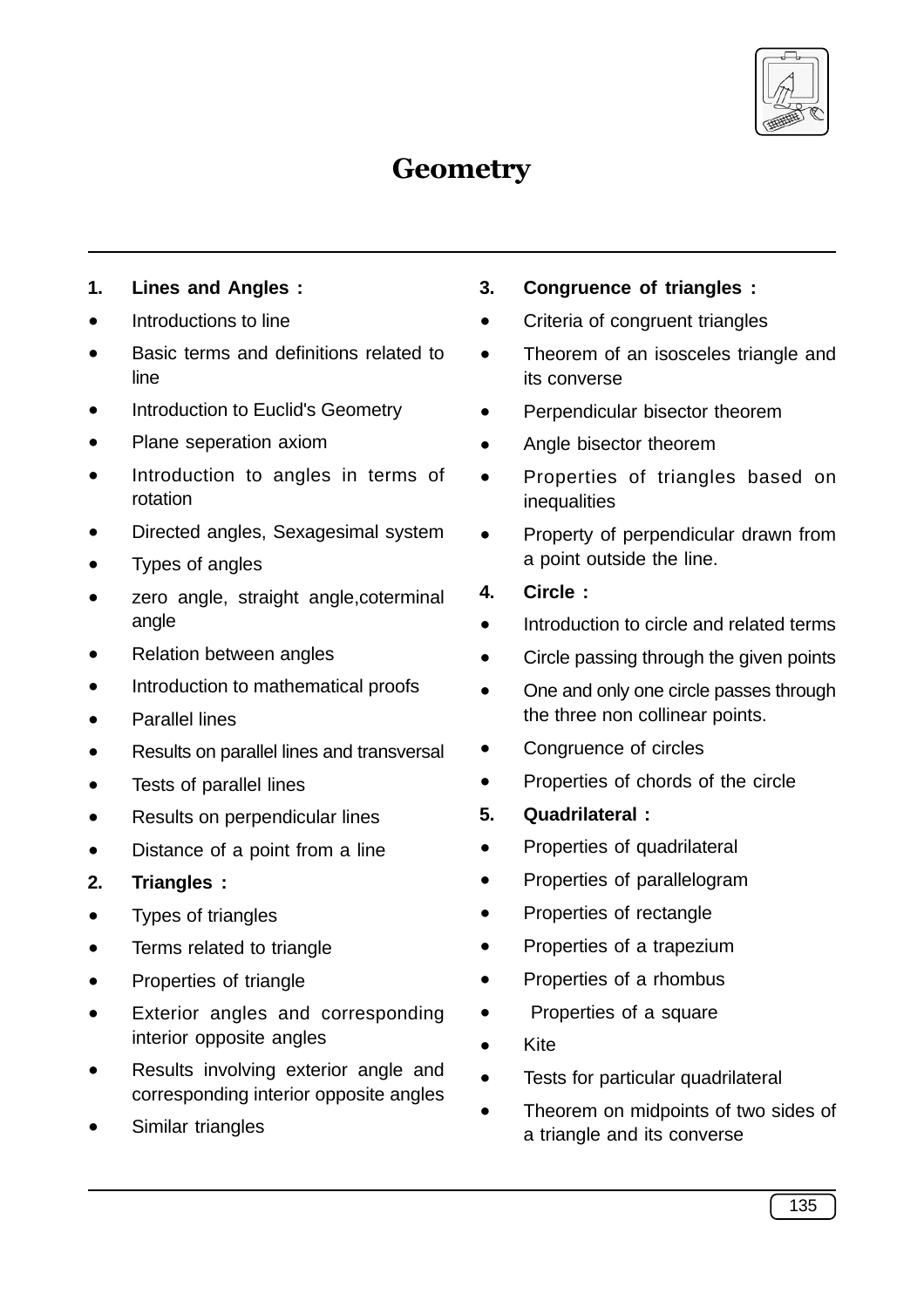

# **Geometry**

- **1. Lines and Angles :**
- Introductions to line
- Basic terms and definitions related to line
- Introduction to Euclid's Geometry
- Plane seperation axiom
- Introduction to angles in terms of rotation
- Directed angles, Sexagesimal system
- Types of angles
- zero angle, straight angle, coterminal angle
- **Relation between angles**
- Introduction to mathematical proofs
- Parallel lines
- Results on parallel lines and transversal
- Tests of parallel lines
- Results on perpendicular lines
- · Distance of a point from a line
- **2. Triangles :**
- · Types of triangles
- · Terms related to triangle
- Properties of triangle
- · Exterior angles and corresponding interior opposite angles
- Results involving exterior angle and corresponding interior opposite angles
- Similar triangles
- **3. Congruence of triangles :**
- · Criteria of congruent triangles
- · Theorem of an isosceles triangle and its converse
- Perpendicular bisector theorem
- Angle bisector theorem
- · Properties of triangles based on inequalities
- · Property of perpendicular drawn from a point outside the line.
- **4. Circle :**
- Introduction to circle and related terms
- Circle passing through the given points
- One and only one circle passes through the three non collinear points.
- Congruence of circles
- · Properties of chords of the circle
- **5. Quadrilateral :**
- · Properties of quadrilateral
- · Properties of parallelogram
- · Properties of rectangle
- · Properties of a trapezium
- · Properties of a rhombus
- · Properties of a square
- · Kite
- · Tests for particular quadrilateral
- · Theorem on midpoints of two sides of a triangle and its converse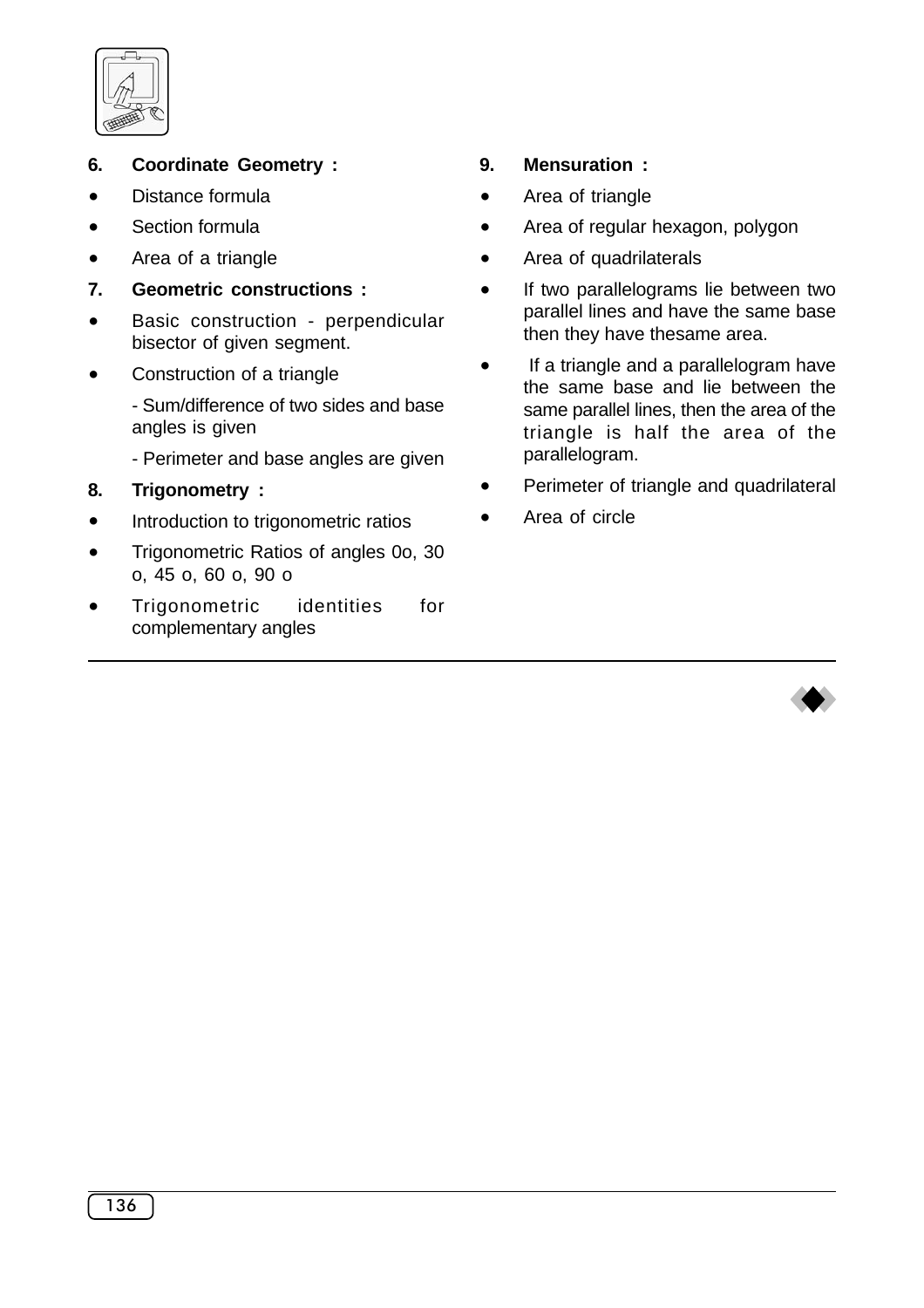

- **6. Coordinate Geometry :**
- Distance formula
- Section formula
- · Area of a triangle
- **7. Geometric constructions :**
- · Basic construction perpendicular bisector of given segment.
- Construction of a triangle
	- Sum/difference of two sides and base angles is given
	- Perimeter and base angles are given
- **8. Trigonometry :**
- · Introduction to trigonometric ratios
- · Trigonometric Ratios of angles 0o, 30 o, 45 o, 60 o, 90 o
- Trigonometric identities for complementary angles

# **9. Mensuration :**

- · Area of triangle
- Area of regular hexagon, polygon
- Area of quadrilaterals
- · If two parallelograms lie between two parallel lines and have the same base then they have thesame area.
- · If a triangle and a parallelogram have the same base and lie between the same parallel lines, then the area of the triangle is half the area of the parallelogram.
- Perimeter of triangle and quadrilateral
- · Area of circle

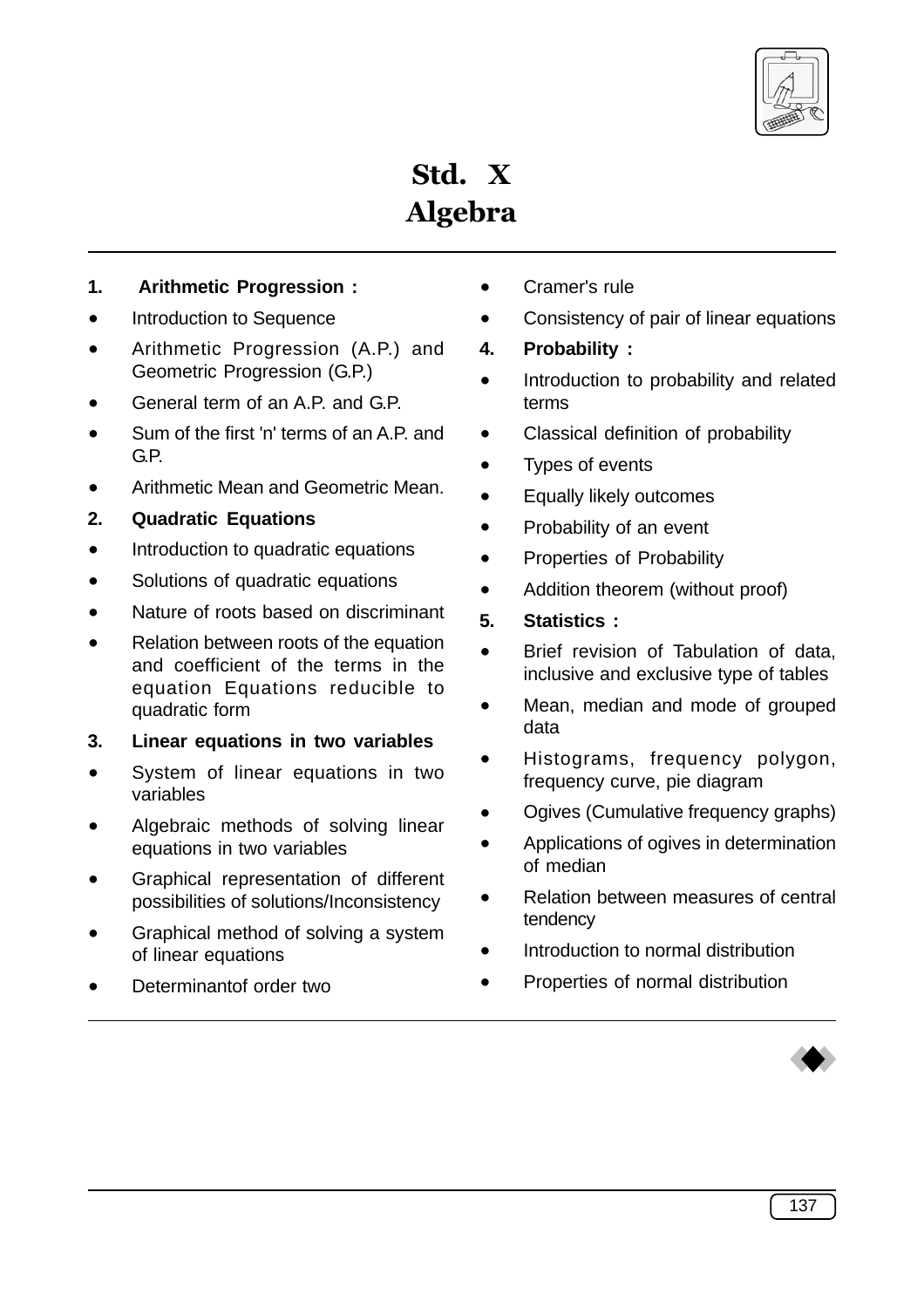

Std. X Algebra

### **1. Arithmetic Progression :**

- Introduction to Sequence
- Arithmetic Progression (A.P.) and Geometric Progression (G.P.)
- General term of an A.P. and G.P.
- Sum of the first 'n' terms of an A.P. and G.P.
- Arithmetic Mean and Geometric Mean.
- **2. Quadratic Equations**
- Introduction to quadratic equations
- Solutions of quadratic equations
- Nature of roots based on discriminant
- · Relation between roots of the equation and coefficient of the terms in the equation Equations reducible to quadratic form
- **3. Linear equations in two variables**
- System of linear equations in two variables
- Algebraic methods of solving linear equations in two variables
- Graphical representation of different possibilities of solutions/Inconsistency
- Graphical method of solving a system of linear equations
- Determinantof order two
- · Cramer's rule
- Consistency of pair of linear equations
- **4. Probability :**
- · Introduction to probability and related terms
- · Classical definition of probability
- Types of events
- · Equally likely outcomes
- Probability of an event
- · Properties of Probability
- Addition theorem (without proof)
- **5. Statistics :**
- Brief revision of Tabulation of data, inclusive and exclusive type of tables
- · Mean, median and mode of grouped data
- Histograms, frequency polygon, frequency curve, pie diagram
- Ogives (Cumulative frequency graphs)
- · Applications of ogives in determination of median
- Relation between measures of central tendency
- Introduction to normal distribution
- Properties of normal distribution